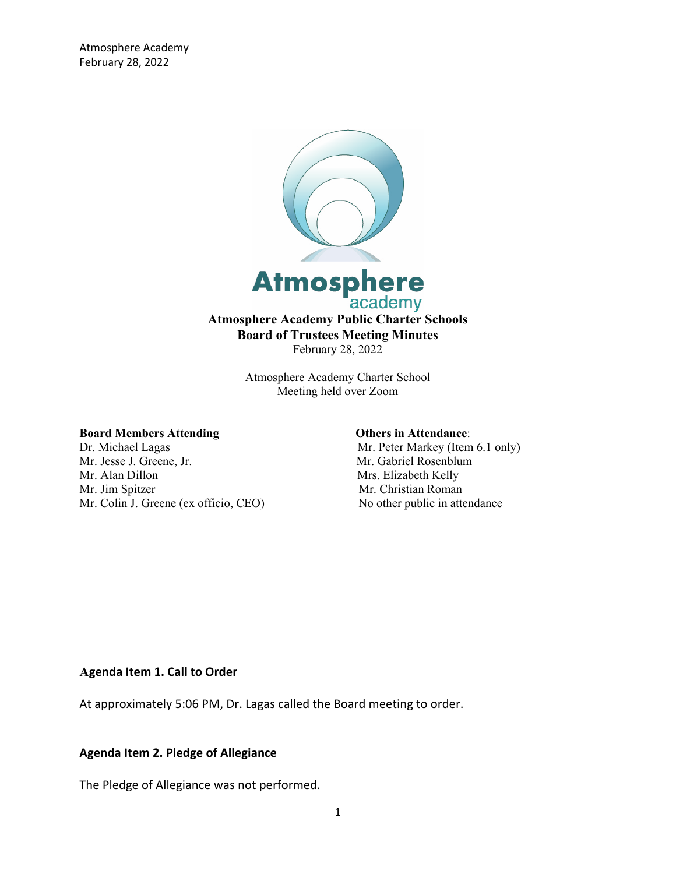

Atmosphere Academy Charter School Meeting held over Zoom

## **Board Members Attending Community Community Community Community Community Community Community Community Community Community Community Community Community Community Community Community Community Community Community Communi**

Mr. Jesse J. Greene, Jr. Mr. Gabriel Rosenblum Mr. Alan Dillon Mrs. Elizabeth Kelly Mr. Jim Spitzer Mr. Christian Roman Mr. Colin J. Greene (ex officio, CEO) No other public in attendance

Dr. Michael Lagas Mr. Peter Markey (Item 6.1 only)

#### **Agenda Item 1. Call to Order**

At approximately 5:06 PM, Dr. Lagas called the Board meeting to order.

## **Agenda Item 2. Pledge of Allegiance**

The Pledge of Allegiance was not performed.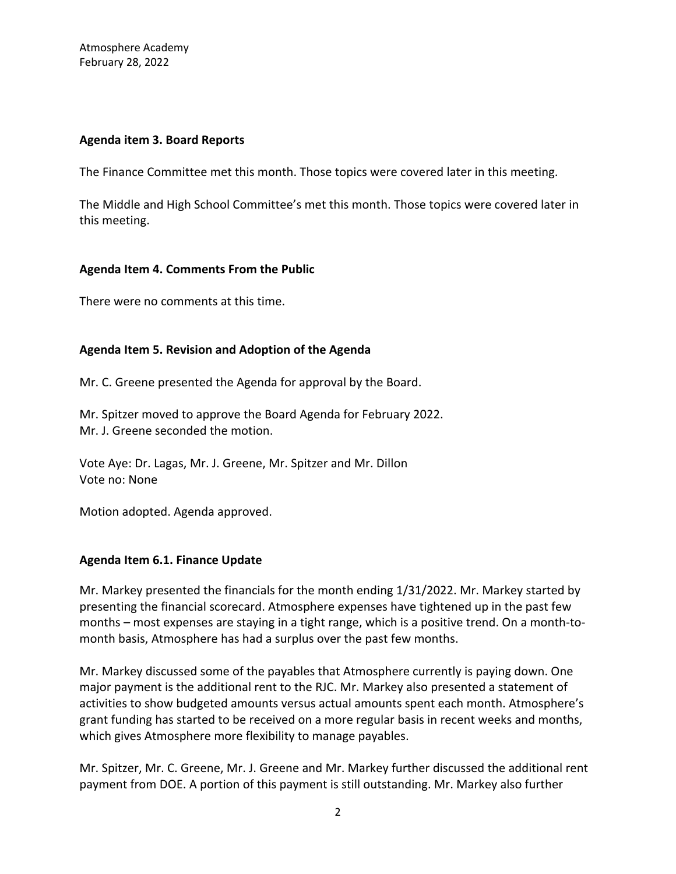## **Agenda item 3. Board Reports**

The Finance Committee met this month. Those topics were covered later in this meeting.

The Middle and High School Committee's met this month. Those topics were covered later in this meeting.

## **Agenda Item 4. Comments From the Public**

There were no comments at this time.

# **Agenda Item 5. Revision and Adoption of the Agenda**

Mr. C. Greene presented the Agenda for approval by the Board.

Mr. Spitzer moved to approve the Board Agenda for February 2022. Mr. J. Greene seconded the motion.

Vote Aye: Dr. Lagas, Mr. J. Greene, Mr. Spitzer and Mr. Dillon Vote no: None

Motion adopted. Agenda approved.

# **Agenda Item 6.1. Finance Update**

Mr. Markey presented the financials for the month ending 1/31/2022. Mr. Markey started by presenting the financial scorecard. Atmosphere expenses have tightened up in the past few months – most expenses are staying in a tight range, which is a positive trend. On a month-tomonth basis, Atmosphere has had a surplus over the past few months.

Mr. Markey discussed some of the payables that Atmosphere currently is paying down. One major payment is the additional rent to the RJC. Mr. Markey also presented a statement of activities to show budgeted amounts versus actual amounts spent each month. Atmosphere's grant funding has started to be received on a more regular basis in recent weeks and months, which gives Atmosphere more flexibility to manage payables.

Mr. Spitzer, Mr. C. Greene, Mr. J. Greene and Mr. Markey further discussed the additional rent payment from DOE. A portion of this payment is still outstanding. Mr. Markey also further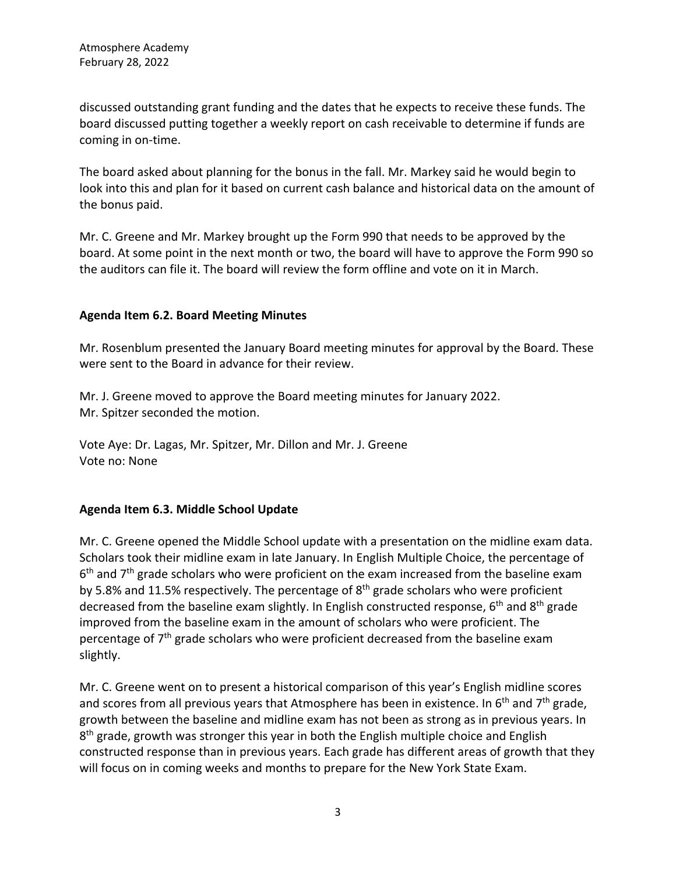discussed outstanding grant funding and the dates that he expects to receive these funds. The board discussed putting together a weekly report on cash receivable to determine if funds are coming in on-time.

The board asked about planning for the bonus in the fall. Mr. Markey said he would begin to look into this and plan for it based on current cash balance and historical data on the amount of the bonus paid.

Mr. C. Greene and Mr. Markey brought up the Form 990 that needs to be approved by the board. At some point in the next month or two, the board will have to approve the Form 990 so the auditors can file it. The board will review the form offline and vote on it in March.

# **Agenda Item 6.2. Board Meeting Minutes**

Mr. Rosenblum presented the January Board meeting minutes for approval by the Board. These were sent to the Board in advance for their review.

Mr. J. Greene moved to approve the Board meeting minutes for January 2022. Mr. Spitzer seconded the motion.

Vote Aye: Dr. Lagas, Mr. Spitzer, Mr. Dillon and Mr. J. Greene Vote no: None

# **Agenda Item 6.3. Middle School Update**

Mr. C. Greene opened the Middle School update with a presentation on the midline exam data. Scholars took their midline exam in late January. In English Multiple Choice, the percentage of  $6<sup>th</sup>$  and  $7<sup>th</sup>$  grade scholars who were proficient on the exam increased from the baseline exam by 5.8% and 11.5% respectively. The percentage of 8<sup>th</sup> grade scholars who were proficient decreased from the baseline exam slightly. In English constructed response, 6<sup>th</sup> and 8<sup>th</sup> grade improved from the baseline exam in the amount of scholars who were proficient. The percentage of  $7<sup>th</sup>$  grade scholars who were proficient decreased from the baseline exam slightly.

Mr. C. Greene went on to present a historical comparison of this year's English midline scores and scores from all previous years that Atmosphere has been in existence. In  $6<sup>th</sup>$  and  $7<sup>th</sup>$  grade, growth between the baseline and midline exam has not been as strong as in previous years. In  $8<sup>th</sup>$  grade, growth was stronger this year in both the English multiple choice and English constructed response than in previous years. Each grade has different areas of growth that they will focus on in coming weeks and months to prepare for the New York State Exam.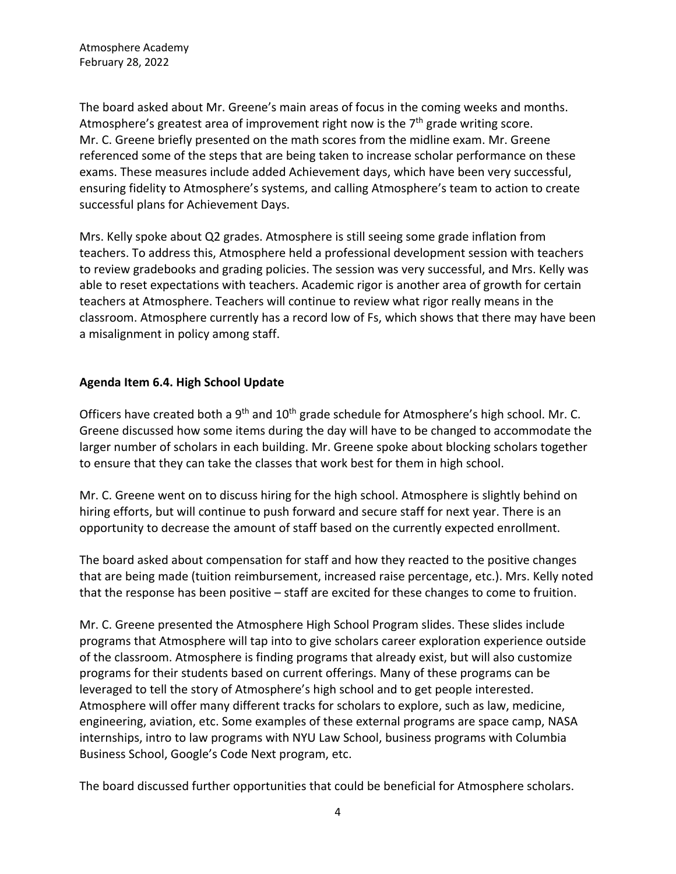The board asked about Mr. Greene's main areas of focus in the coming weeks and months. Atmosphere's greatest area of improvement right now is the  $7<sup>th</sup>$  grade writing score. Mr. C. Greene briefly presented on the math scores from the midline exam. Mr. Greene referenced some of the steps that are being taken to increase scholar performance on these exams. These measures include added Achievement days, which have been very successful, ensuring fidelity to Atmosphere's systems, and calling Atmosphere's team to action to create successful plans for Achievement Days.

Mrs. Kelly spoke about Q2 grades. Atmosphere is still seeing some grade inflation from teachers. To address this, Atmosphere held a professional development session with teachers to review gradebooks and grading policies. The session was very successful, and Mrs. Kelly was able to reset expectations with teachers. Academic rigor is another area of growth for certain teachers at Atmosphere. Teachers will continue to review what rigor really means in the classroom. Atmosphere currently has a record low of Fs, which shows that there may have been a misalignment in policy among staff.

# **Agenda Item 6.4. High School Update**

Officers have created both a 9<sup>th</sup> and 10<sup>th</sup> grade schedule for Atmosphere's high school. Mr. C. Greene discussed how some items during the day will have to be changed to accommodate the larger number of scholars in each building. Mr. Greene spoke about blocking scholars together to ensure that they can take the classes that work best for them in high school.

Mr. C. Greene went on to discuss hiring for the high school. Atmosphere is slightly behind on hiring efforts, but will continue to push forward and secure staff for next year. There is an opportunity to decrease the amount of staff based on the currently expected enrollment.

The board asked about compensation for staff and how they reacted to the positive changes that are being made (tuition reimbursement, increased raise percentage, etc.). Mrs. Kelly noted that the response has been positive – staff are excited for these changes to come to fruition.

Mr. C. Greene presented the Atmosphere High School Program slides. These slides include programs that Atmosphere will tap into to give scholars career exploration experience outside of the classroom. Atmosphere is finding programs that already exist, but will also customize programs for their students based on current offerings. Many of these programs can be leveraged to tell the story of Atmosphere's high school and to get people interested. Atmosphere will offer many different tracks for scholars to explore, such as law, medicine, engineering, aviation, etc. Some examples of these external programs are space camp, NASA internships, intro to law programs with NYU Law School, business programs with Columbia Business School, Google's Code Next program, etc.

The board discussed further opportunities that could be beneficial for Atmosphere scholars.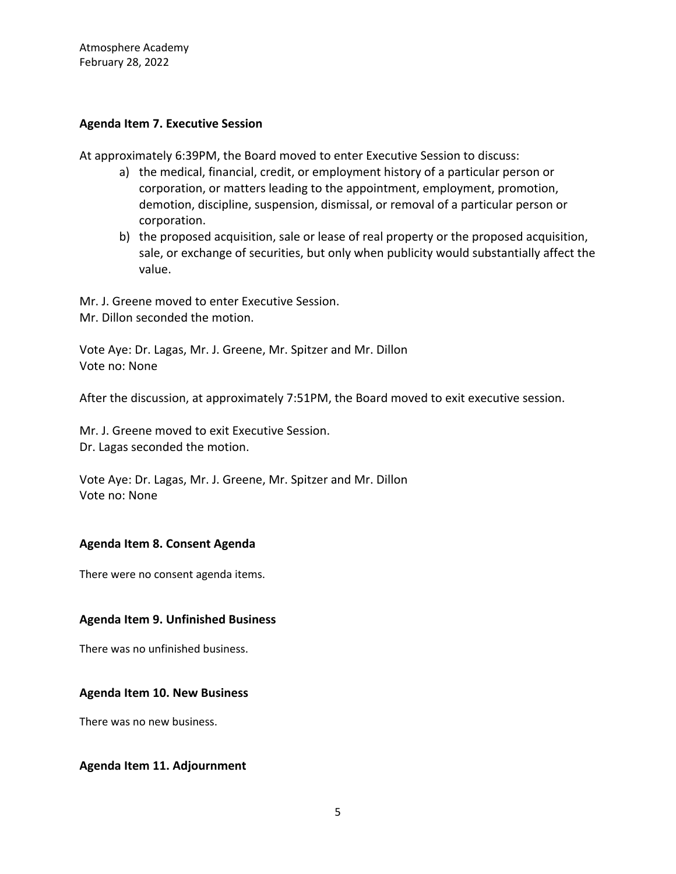## **Agenda Item 7. Executive Session**

At approximately 6:39PM, the Board moved to enter Executive Session to discuss:

- a) the medical, financial, credit, or employment history of a particular person or corporation, or matters leading to the appointment, employment, promotion, demotion, discipline, suspension, dismissal, or removal of a particular person or corporation.
- b) the proposed acquisition, sale or lease of real property or the proposed acquisition, sale, or exchange of securities, but only when publicity would substantially affect the value.

Mr. J. Greene moved to enter Executive Session. Mr. Dillon seconded the motion.

Vote Aye: Dr. Lagas, Mr. J. Greene, Mr. Spitzer and Mr. Dillon Vote no: None

After the discussion, at approximately 7:51PM, the Board moved to exit executive session.

Mr. J. Greene moved to exit Executive Session. Dr. Lagas seconded the motion.

Vote Aye: Dr. Lagas, Mr. J. Greene, Mr. Spitzer and Mr. Dillon Vote no: None

# **Agenda Item 8. Consent Agenda**

There were no consent agenda items.

## **Agenda Item 9. Unfinished Business**

There was no unfinished business.

## **Agenda Item 10. New Business**

There was no new business.

## **Agenda Item 11. Adjournment**